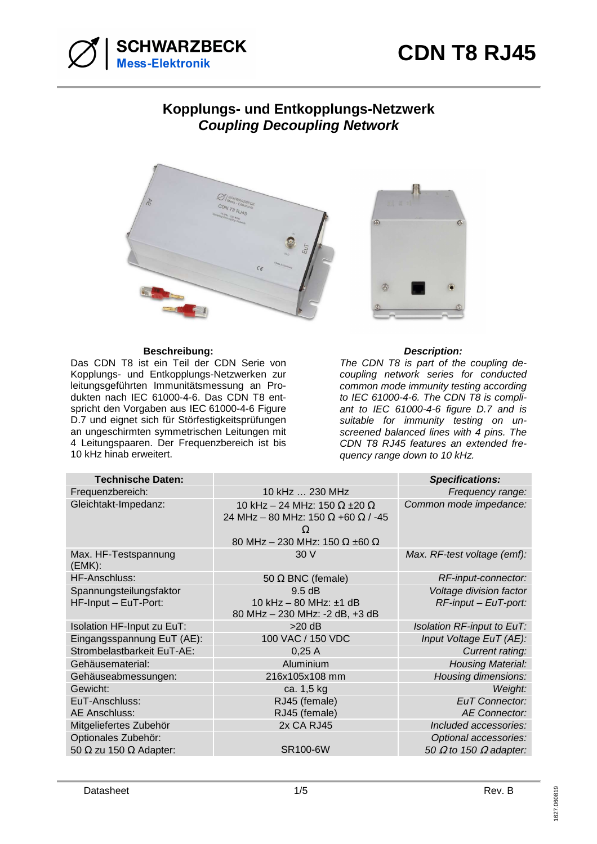



## **Kopplungs- und Entkopplungs-Netzwerk Coupling Decoupling Network**



## **Beschreibung: Description:**

Das CDN T8 ist ein Teil der CDN Serie von Kopplungs- und Entkopplungs-Netzwerken zur leitungsgeführten Immunitätsmessung an Produkten nach IEC 61000-4-6. Das CDN T8 entspricht den Vorgaben aus IEC 61000-4-6 Figure D.7 und eignet sich für Störfestigkeitsprüfungen an ungeschirmten symmetrischen Leitungen mit 4 Leitungspaaren. Der Frequenzbereich ist bis 10 kHz hinab erweitert.



The CDN T8 is part of the coupling decoupling network series for conducted common mode immunity testing according to IEC 61000-4-6. The CDN T8 is compliant to IEC 61000-4-6 figure D.7 and is suitable for immunity testing on unscreened balanced lines with 4 pins. The CDN T8 RJ45 features an extended frequency range down to 10 kHz.

| <b>Technische Daten:</b>                                    |                                                                                                                                      | <b>Specifications:</b>                                        |
|-------------------------------------------------------------|--------------------------------------------------------------------------------------------------------------------------------------|---------------------------------------------------------------|
| Frequenzbereich:                                            | 10 kHz  230 MHz                                                                                                                      | Frequency range:                                              |
| Gleichtakt-Impedanz:                                        | 10 kHz - 24 MHz: 150 $\Omega$ ±20 $\Omega$<br>24 MHz - 80 MHz: 150 Ω +60 Ω / -45<br>Ω<br>80 MHz - 230 MHz: 150 $\Omega$ ±60 $\Omega$ | Common mode impedance:                                        |
| Max. HF-Testspannung<br>(EMK):                              | 30 V                                                                                                                                 | Max. RF-test voltage (emf):                                   |
| <b>HF-Anschluss:</b>                                        | 50 $\Omega$ BNC (female)                                                                                                             | RF-input-connector:                                           |
| Spannungsteilungsfaktor                                     | 9.5 dB                                                                                                                               | Voltage division factor                                       |
| HF-Input - EuT-Port:                                        | 10 kHz - 80 MHz: ±1 dB<br>80 MHz - 230 MHz: -2 dB, +3 dB                                                                             | $RF$ -input – EuT-port:                                       |
| Isolation HF-Input zu EuT:                                  | $>20$ dB                                                                                                                             | Isolation RF-input to EuT:                                    |
| Eingangsspannung EuT (AE):                                  | 100 VAC / 150 VDC                                                                                                                    | Input Voltage EuT (AE):                                       |
| Strombelastbarkeit EuT-AE:                                  | 0,25A                                                                                                                                | Current rating:                                               |
| Gehäusematerial:                                            | Aluminium                                                                                                                            | <b>Housing Material:</b>                                      |
| Gehäuseabmessungen:                                         | 216x105x108 mm                                                                                                                       | Housing dimensions:                                           |
| Gewicht:                                                    | ca. 1,5 kg                                                                                                                           | Weight:                                                       |
| EuT-Anschluss:<br><b>AE Anschluss:</b>                      | RJ45 (female)<br>RJ45 (female)                                                                                                       | <b>EuT</b> Connector:<br><b>AE Connector:</b>                 |
| Mitgeliefertes Zubehör                                      | 2x CA RJ45                                                                                                                           | Included accessories:                                         |
| Optionales Zubehör:<br>50 $\Omega$ zu 150 $\Omega$ Adapter: | SR100-6W                                                                                                                             | Optional accessories:<br>50 $\Omega$ to 150 $\Omega$ adapter: |
|                                                             |                                                                                                                                      |                                                               |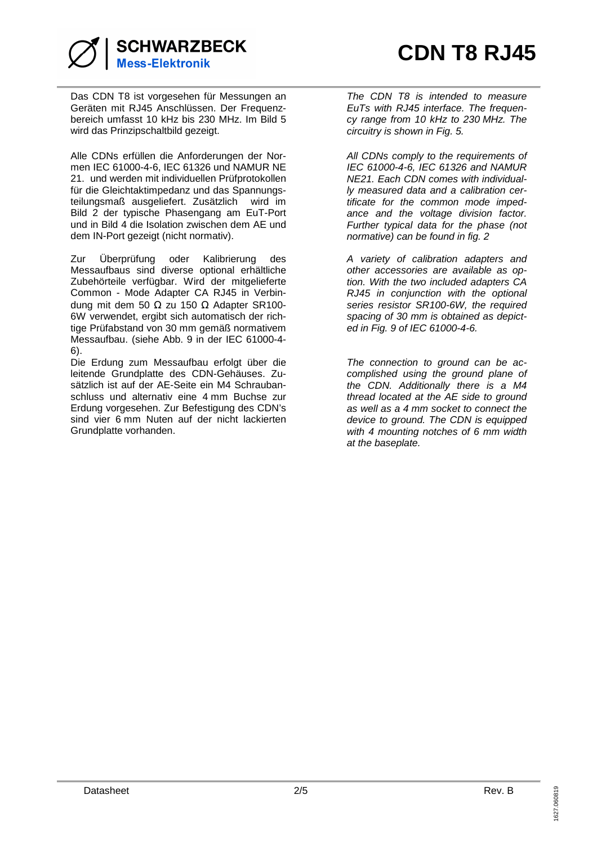

Das CDN T8 ist vorgesehen für Messungen an Geräten mit RJ45 Anschlüssen. Der Frequenzbereich umfasst 10 kHz bis 230 MHz. Im Bild 5 wird das Prinzipschaltbild gezeigt.

Alle CDNs erfüllen die Anforderungen der Normen IEC 61000-4-6, IEC 61326 und NAMUR NE 21. und werden mit individuellen Prüfprotokollen für die Gleichtaktimpedanz und das Spannungsteilungsmaß ausgeliefert. Zusätzlich wird im Bild 2 der typische Phasengang am EuT-Port und in Bild 4 die Isolation zwischen dem AE und dem IN-Port gezeigt (nicht normativ).

Zur Überprüfung oder Kalibrierung des Messaufbaus sind diverse optional erhältliche Zubehörteile verfügbar. Wird der mitgelieferte Common - Mode Adapter CA RJ45 in Verbindung mit dem 50 Ω zu 150 Ω Adapter SR100- 6W verwendet, ergibt sich automatisch der richtige Prüfabstand von 30 mm gemäß normativem Messaufbau. (siehe Abb. 9 in der IEC 61000-4- 6).

Die Erdung zum Messaufbau erfolgt über die leitende Grundplatte des CDN-Gehäuses. Zusätzlich ist auf der AE-Seite ein M4 Schraubanschluss und alternativ eine 4 mm Buchse zur Erdung vorgesehen. Zur Befestigung des CDN's sind vier 6 mm Nuten auf der nicht lackierten Grundplatte vorhanden.

The CDN T8 is intended to measure EuTs with RJ45 interface. The frequency range from 10 kHz to 230 MHz. The circuitry is shown in Fig. 5.

All CDNs comply to the requirements of IEC 61000-4-6, IEC 61326 and NAMUR NE21. Each CDN comes with individually measured data and a calibration certificate for the common mode impedance and the voltage division factor. Further typical data for the phase (not normative) can be found in fig. 2

A variety of calibration adapters and other accessories are available as option. With the two included adapters CA RJ45 in conjunction with the optional series resistor SR100-6W, the required spacing of 30 mm is obtained as depicted in Fig. 9 of IEC 61000-4-6.

The connection to ground can be accomplished using the ground plane of the CDN. Additionally there is a M4 thread located at the AE side to ground as well as a 4 mm socket to connect the device to ground. The CDN is equipped with 4 mounting notches of 6 mm width at the baseplate.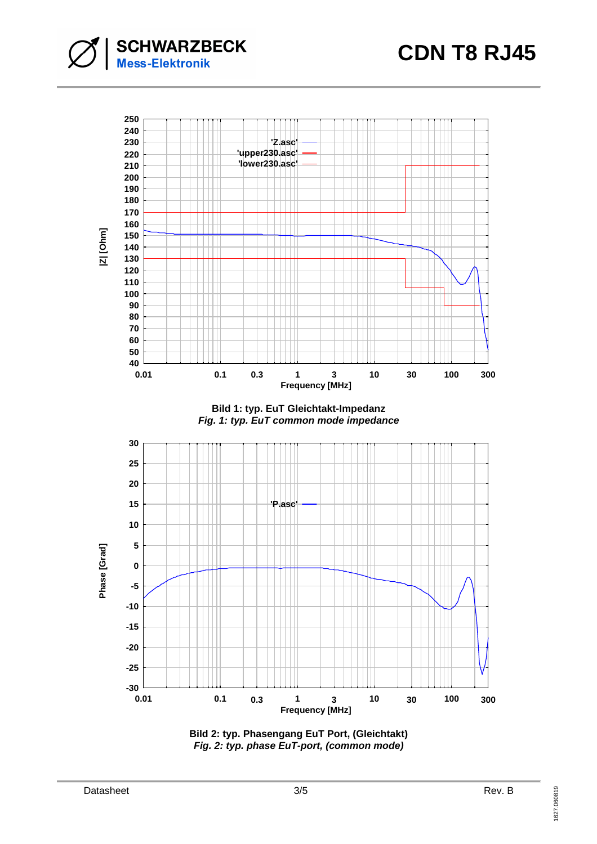





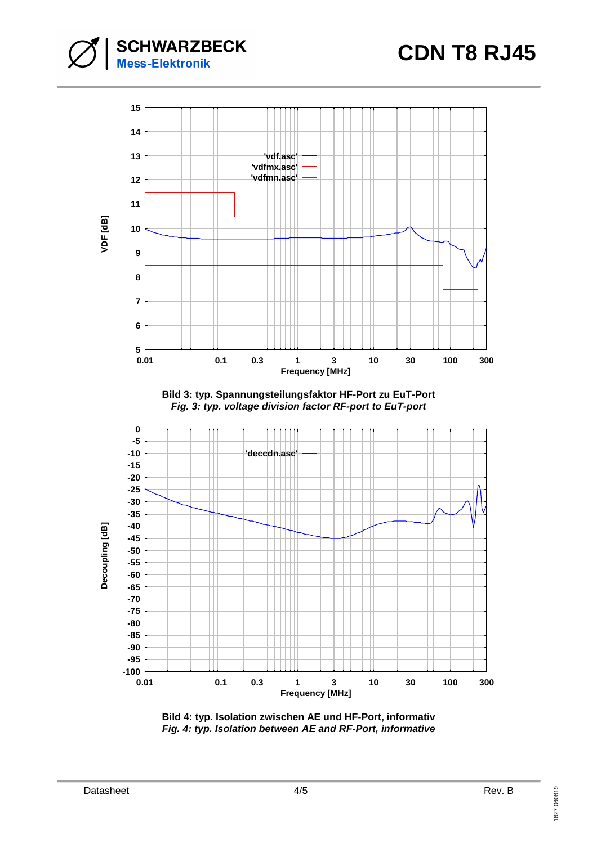



**Bild 3: typ. Spannungsteilungsfaktor HF-Port zu EuT-Port Fig. 3: typ. voltage division factor RF-port to EuT-port** 

![](_page_3_Figure_4.jpeg)

![](_page_3_Figure_5.jpeg)